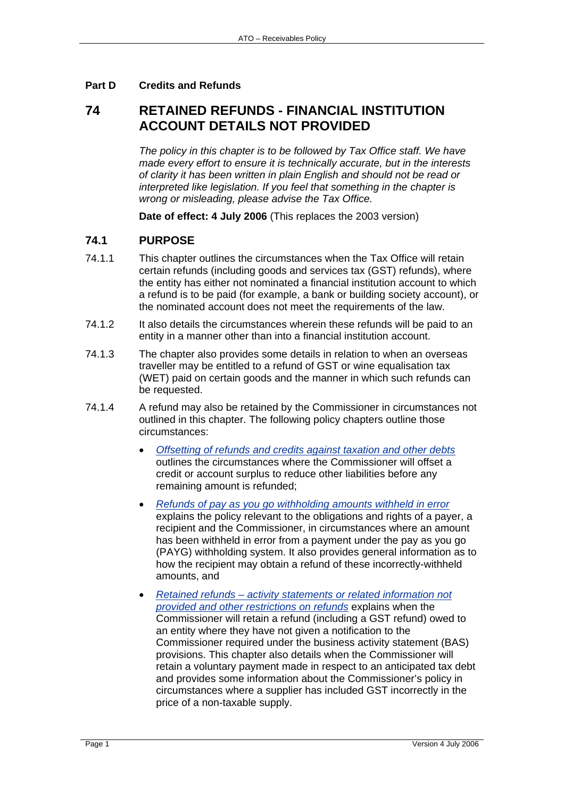### **Part D Credits and Refunds**

# **74 RETAINED REFUNDS - FINANCIAL INSTITUTION ACCOUNT DETAILS NOT PROVIDED**

*The policy in this chapter is to be followed by Tax Office staff. We have made every effort to ensure it is technically accurate, but in the interests of clarity it has been written in plain English and should not be read or interpreted like legislation. If you feel that something in the chapter is wrong or misleading, please advise the Tax Office.*

**Date of effect: 4 July 2006** (This replaces the 2003 version)

#### **74.1 PURPOSE**

- 74.1.1 This chapter outlines the circumstances when the Tax Office will retain certain refunds (including goods and services tax (GST) refunds), where the entity has either not nominated a financial institution account to which a refund is to be paid (for example, a bank or building society account), or the nominated account does not meet the requirements of the law.
- 74.1.2 It also details the circumstances wherein these refunds will be paid to an entity in a manner other than into a financial institution account.
- 74.1.3 The chapter also provides some details in relation to when an overseas traveller may be entitled to a refund of GST or wine equalisation tax (WET) paid on certain goods and the manner in which such refunds can be requested.
- 74.1.4 A refund may also be retained by the Commissioner in circumstances not outlined in this chapter. The following policy chapters outline those circumstances:
	- *Offsetting of refunds and credits against taxation and other debts* outlines the circumstances where the Commissioner will offset a credit or account surplus to reduce other liabilities before any remaining amount is refunded;
	- *Refunds of pay as you go withholding amounts withheld in error* explains the policy relevant to the obligations and rights of a payer, a recipient and the Commissioner, in circumstances where an amount has been withheld in error from a payment under the pay as you go (PAYG) withholding system. It also provides general information as to how the recipient may obtain a refund of these incorrectly-withheld amounts, and
	- *Retained refunds activity statements or related information not provided and other restrictions on refunds* explains when the Commissioner will retain a refund (including a GST refund) owed to an entity where they have not given a notification to the Commissioner required under the business activity statement (BAS) provisions. This chapter also details when the Commissioner will retain a voluntary payment made in respect to an anticipated tax debt and provides some information about the Commissioner's policy in circumstances where a supplier has included GST incorrectly in the price of a non-taxable supply.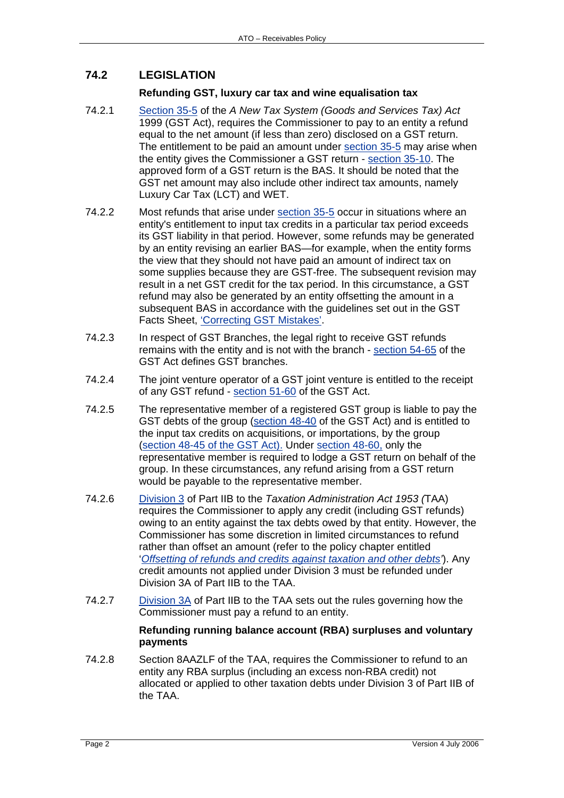# **74.2 LEGISLATION**

#### **Refunding GST, luxury car tax and wine equalisation tax**

- 74.2.1 Section 35-5 of the *A New Tax System (Goods and Services Tax) Act* 1999 (GST Act), requires the Commissioner to pay to an entity a refund equal to the net amount (if less than zero) disclosed on a GST return. The entitlement to be paid an amount under section 35-5 may arise when the entity gives the Commissioner a GST return - section 35-10. The approved form of a GST return is the BAS. It should be noted that the GST net amount may also include other indirect tax amounts, namely Luxury Car Tax (LCT) and WET.
- 74.2.2 Most refunds that arise under section 35-5 occur in situations where an entity's entitlement to input tax credits in a particular tax period exceeds its GST liability in that period. However, some refunds may be generated by an entity revising an earlier BAS—for example, when the entity forms the view that they should not have paid an amount of indirect tax on some supplies because they are GST-free. The subsequent revision may result in a net GST credit for the tax period. In this circumstance, a GST refund may also be generated by an entity offsetting the amount in a subsequent BAS in accordance with the quidelines set out in the GST Facts Sheet, 'Correcting GST Mistakes'.
- 74.2.3 In respect of GST Branches, the legal right to receive GST refunds remains with the entity and is not with the branch - section 54-65 of the GST Act defines GST branches.
- 74.2.4 The joint venture operator of a GST joint venture is entitled to the receipt of any GST refund - section 51-60 of the GST Act.
- 74.2.5 The representative member of a registered GST group is liable to pay the GST debts of the group (section 48-40 of the GST Act) and is entitled to the input tax credits on acquisitions, or importations, by the group (section 48-45 of the GST Act). Under section 48-60, only the representative member is required to lodge a GST return on behalf of the group. In these circumstances, any refund arising from a GST return would be payable to the representative member.
- 74.2.6 Division 3 of Part IIB to the *Taxation Administration Act 1953 (*TAA) requires the Commissioner to apply any credit (including GST refunds) owing to an entity against the tax debts owed by that entity. However, the Commissioner has some discretion in limited circumstances to refund rather than offset an amount (refer to the policy chapter entitled '*Offsetting of refunds and credits against taxation and other debts'*). Any credit amounts not applied under Division 3 must be refunded under Division 3A of Part IIB to the TAA.
- 74.2.7 Division 3A of Part IIB to the TAA sets out the rules governing how the Commissioner must pay a refund to an entity.

#### **Refunding running balance account (RBA) surpluses and voluntary payments**

74.2.8 Section 8AAZLF of the TAA, requires the Commissioner to refund to an entity any RBA surplus (including an excess non-RBA credit) not allocated or applied to other taxation debts under Division 3 of Part IIB of the TAA.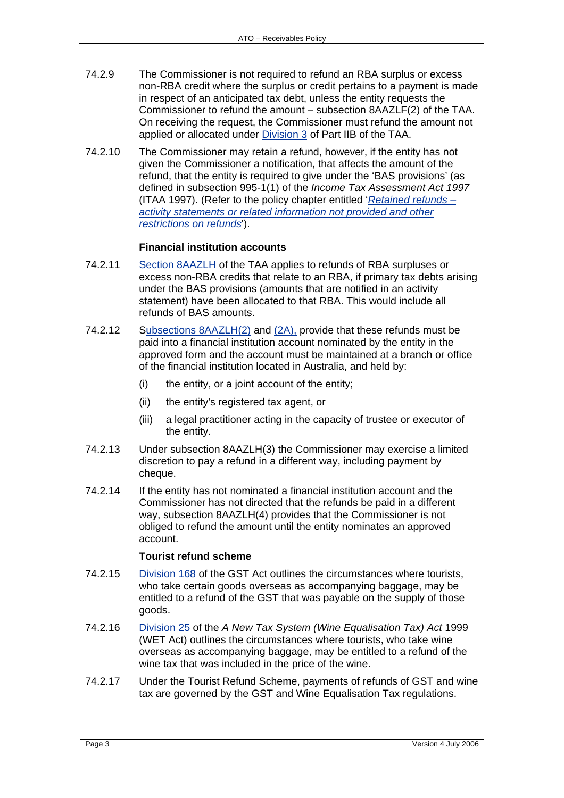- 74.2.9 The Commissioner is not required to refund an RBA surplus or excess non-RBA credit where the surplus or credit pertains to a payment is made in respect of an anticipated tax debt, unless the entity requests the Commissioner to refund the amount – subsection 8AAZLF(2) of the TAA. On receiving the request, the Commissioner must refund the amount not applied or allocated under Division 3 of Part IIB of the TAA.
- 74.2.10 The Commissioner may retain a refund, however, if the entity has not given the Commissioner a notification, that affects the amount of the refund, that the entity is required to give under the 'BAS provisions' (as defined in subsection 995-1(1) of the *Income Tax Assessment Act 1997* (ITAA 1997). (Refer to the policy chapter entitled '*Retained refunds – activity statements or related information not provided and other restrictions on refunds*').

#### **Financial institution accounts**

- 74.2.11 Section 8AAZLH of the TAA applies to refunds of RBA surpluses or excess non-RBA credits that relate to an RBA, if primary tax debts arising under the BAS provisions (amounts that are notified in an activity statement) have been allocated to that RBA. This would include all refunds of BAS amounts.
- 74.2.12 Subsections 8AAZLH(2) and (2A), provide that these refunds must be paid into a financial institution account nominated by the entity in the approved form and the account must be maintained at a branch or office of the financial institution located in Australia, and held by:
	- (i) the entity, or a joint account of the entity;
	- (ii) the entity's registered tax agent, or
	- (iii) a legal practitioner acting in the capacity of trustee or executor of the entity.
- 74.2.13 Under subsection 8AAZLH(3) the Commissioner may exercise a limited discretion to pay a refund in a different way, including payment by cheque.
- 74.2.14 If the entity has not nominated a financial institution account and the Commissioner has not directed that the refunds be paid in a different way, subsection 8AAZLH(4) provides that the Commissioner is not obliged to refund the amount until the entity nominates an approved account.

#### **Tourist refund scheme**

- 74.2.15 Division 168 of the GST Act outlines the circumstances where tourists, who take certain goods overseas as accompanying baggage, may be entitled to a refund of the GST that was payable on the supply of those goods.
- 74.2.16 Division 25 of the *A New Tax System (Wine Equalisation Tax) Act* 1999 (WET Act) outlines the circumstances where tourists, who take wine overseas as accompanying baggage, may be entitled to a refund of the wine tax that was included in the price of the wine.
- 74.2.17 Under the Tourist Refund Scheme, payments of refunds of GST and wine tax are governed by the GST and Wine Equalisation Tax regulations.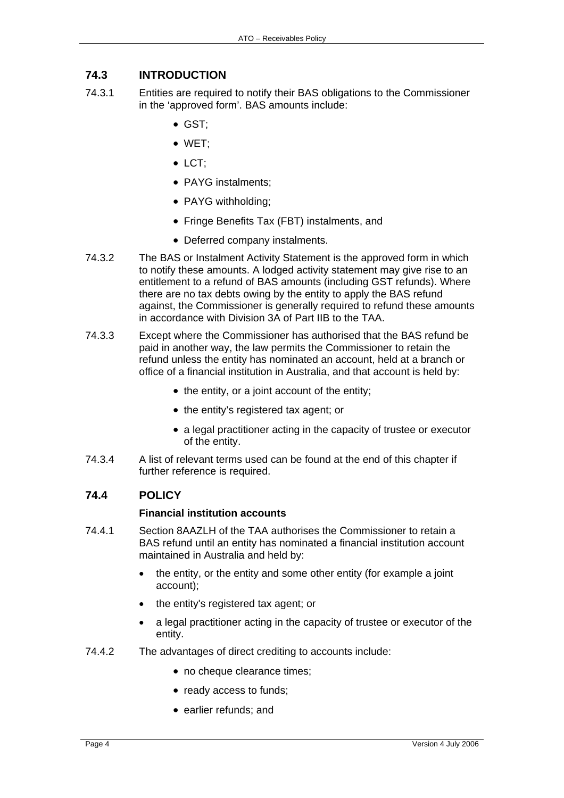# **74.3 INTRODUCTION**

- 74.3.1 Entities are required to notify their BAS obligations to the Commissioner in the 'approved form'. BAS amounts include:
	- GST;
	- WET;
	- $\bullet$  LCT:
	- PAYG instalments;
	- PAYG withholding;
	- Fringe Benefits Tax (FBT) instalments, and
	- Deferred company instalments.
- 74.3.2 The BAS or Instalment Activity Statement is the approved form in which to notify these amounts. A lodged activity statement may give rise to an entitlement to a refund of BAS amounts (including GST refunds). Where there are no tax debts owing by the entity to apply the BAS refund against, the Commissioner is generally required to refund these amounts in accordance with Division 3A of Part IIB to the TAA.
- 74.3.3 Except where the Commissioner has authorised that the BAS refund be paid in another way, the law permits the Commissioner to retain the refund unless the entity has nominated an account, held at a branch or office of a financial institution in Australia, and that account is held by:
	- the entity, or a joint account of the entity;
	- the entity's registered tax agent; or
	- a legal practitioner acting in the capacity of trustee or executor of the entity.
- 74.3.4 A list of relevant terms used can be found at the end of this chapter if further reference is required.

#### **74.4 POLICY**

#### **Financial institution accounts**

- 74.4.1 Section 8AAZLH of the TAA authorises the Commissioner to retain a BAS refund until an entity has nominated a financial institution account maintained in Australia and held by:
	- the entity, or the entity and some other entity (for example a joint account);
	- the entity's registered tax agent; or
	- a legal practitioner acting in the capacity of trustee or executor of the entity.
- 74.4.2 The advantages of direct crediting to accounts include:
	- no cheque clearance times;
	- ready access to funds;
	- earlier refunds; and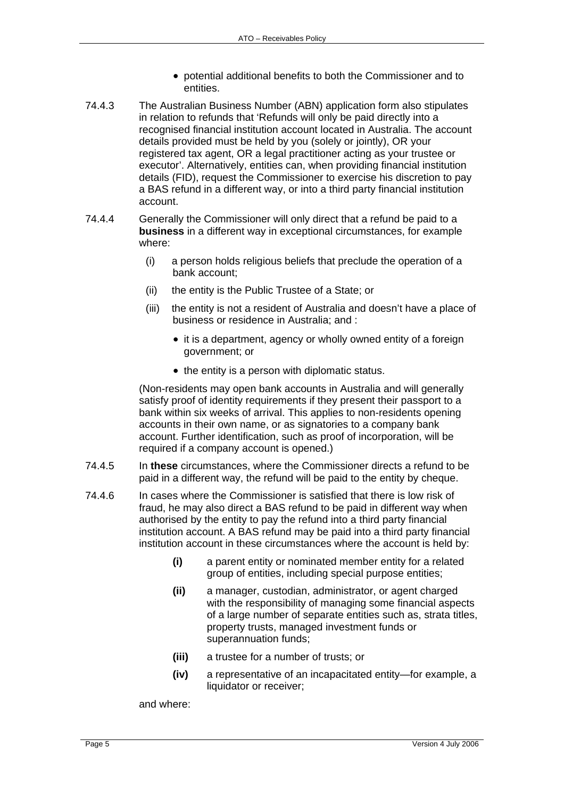- potential additional benefits to both the Commissioner and to entities.
- 74.4.3 The Australian Business Number (ABN) application form also stipulates in relation to refunds that 'Refunds will only be paid directly into a recognised financial institution account located in Australia. The account details provided must be held by you (solely or jointly), OR your registered tax agent, OR a legal practitioner acting as your trustee or executor'. Alternatively, entities can, when providing financial institution details (FID), request the Commissioner to exercise his discretion to pay a BAS refund in a different way, or into a third party financial institution account.
- 74.4.4 Generally the Commissioner will only direct that a refund be paid to a **business** in a different way in exceptional circumstances, for example where:
	- (i) a person holds religious beliefs that preclude the operation of a bank account;
	- (ii) the entity is the Public Trustee of a State; or
	- (iii) the entity is not a resident of Australia and doesn't have a place of business or residence in Australia; and :
		- it is a department, agency or wholly owned entity of a foreign government; or
		- the entity is a person with diplomatic status.

(Non-residents may open bank accounts in Australia and will generally satisfy proof of identity requirements if they present their passport to a bank within six weeks of arrival. This applies to non-residents opening accounts in their own name, or as signatories to a company bank account. Further identification, such as proof of incorporation, will be required if a company account is opened.)

- 74.4.5 In **these** circumstances, where the Commissioner directs a refund to be paid in a different way, the refund will be paid to the entity by cheque.
- 74.4.6 In cases where the Commissioner is satisfied that there is low risk of fraud, he may also direct a BAS refund to be paid in different way when authorised by the entity to pay the refund into a third party financial institution account. A BAS refund may be paid into a third party financial institution account in these circumstances where the account is held by:
	- **(i)** a parent entity or nominated member entity for a related group of entities, including special purpose entities;
	- **(ii)** a manager, custodian, administrator, or agent charged with the responsibility of managing some financial aspects of a large number of separate entities such as, strata titles, property trusts, managed investment funds or superannuation funds;
	- **(iii)** a trustee for a number of trusts; or
	- **(iv)** a representative of an incapacitated entity—for example, a liquidator or receiver;

and where: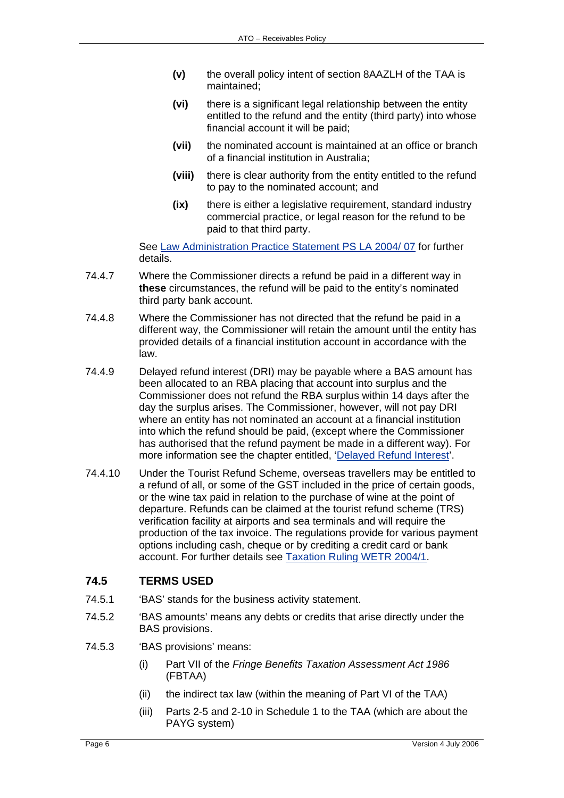- **(v)** the overall policy intent of section 8AAZLH of the TAA is maintained;
- **(vi)** there is a significant legal relationship between the entity entitled to the refund and the entity (third party) into whose financial account it will be paid;
- **(vii)** the nominated account is maintained at an office or branch of a financial institution in Australia;
- **(viii)** there is clear authority from the entity entitled to the refund to pay to the nominated account; and
- **(ix)** there is either a legislative requirement, standard industry commercial practice, or legal reason for the refund to be paid to that third party.

See Law Administration Practice Statement PS LA 2004/ 07 for further details.

- 74.4.7 Where the Commissioner directs a refund be paid in a different way in **these** circumstances, the refund will be paid to the entity's nominated third party bank account.
- 74.4.8 Where the Commissioner has not directed that the refund be paid in a different way, the Commissioner will retain the amount until the entity has provided details of a financial institution account in accordance with the law.
- 74.4.9 Delayed refund interest (DRI) may be payable where a BAS amount has been allocated to an RBA placing that account into surplus and the Commissioner does not refund the RBA surplus within 14 days after the day the surplus arises. The Commissioner, however, will not pay DRI where an entity has not nominated an account at a financial institution into which the refund should be paid, (except where the Commissioner has authorised that the refund payment be made in a different way). For more information see the chapter entitled, 'Delayed Refund Interest'.
- 74.4.10 Under the Tourist Refund Scheme, overseas travellers may be entitled to a refund of all, or some of the GST included in the price of certain goods, or the wine tax paid in relation to the purchase of wine at the point of departure. Refunds can be claimed at the tourist refund scheme (TRS) verification facility at airports and sea terminals and will require the production of the tax invoice. The regulations provide for various payment options including cash, cheque or by crediting a credit card or bank account. For further details see Taxation Ruling WETR 2004/1.

# **74.5 TERMS USED**

- 74.5.1 'BAS' stands for the business activity statement.
- 74.5.2 'BAS amounts' means any debts or credits that arise directly under the BAS provisions.
- 74.5.3 'BAS provisions' means:
	- (i) Part VII of the *Fringe Benefits Taxation Assessment Act 1986* (FBTAA)
	- (ii) the indirect tax law (within the meaning of Part VI of the TAA)
	- (iii) Parts 2-5 and 2-10 in Schedule 1 to the TAA (which are about the PAYG system)